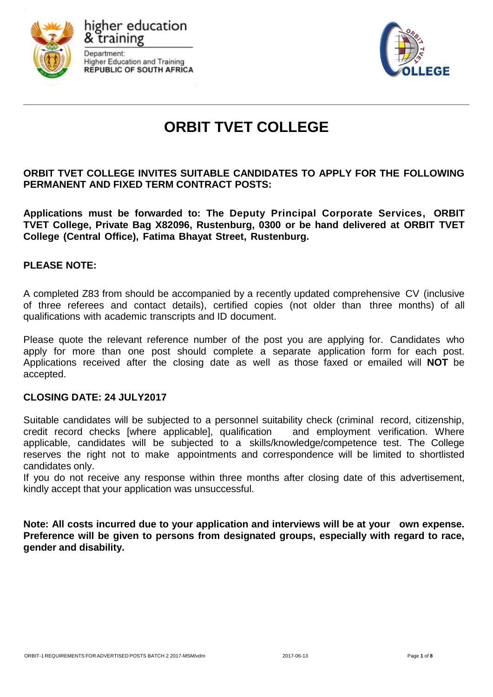





# **ORBIT TVET COLLEGE**

## **ORBIT TVET COLLEGE INVITES SUITABLE CANDIDATES TO APPLY FOR THE FOLLOWING PERMANENT AND FIXED TERM CONTRACT POSTS:**

**Applications must be forwarded to: The Deputy Principal Corporate Services, ORBIT TVET College, Private Bag X82096, Rustenburg, 0300 or be hand delivered at ORBIT TVET College (Central Office), Fatima Bhayat Street, Rustenburg.**

## **PLEASE NOTE:**

A completed Z83 from should be accompanied by a recently updated comprehensive CV (inclusive of three referees and contact details), certified copies (not older than three months) of all qualifications with academic transcripts and ID document.

Please quote the relevant reference number of the post you are applying for. Candidates who apply for more than one post should complete a separate application form for each post. Applications received after the closing date as well as those faxed or emailed will **NOT** be accepted.

## **CLOSING DATE: 24 JULY2017**

Suitable candidates will be subjected to a personnel suitability check (criminal record, citizenship, credit record checks [where applicable], qualification and employment verification. Where applicable, candidates will be subjected to a skills/knowledge/competence test. The College reserves the right not to make appointments and correspondence will be limited to shortlisted candidates only.

If you do not receive any response within three months after closing date of this advertisement, kindly accept that your application was unsuccessful.

**Note: All costs incurred due to your application and interviews will be at your own expense. Preference will be given to persons from designated groups, especially with regard to race, gender and disability.**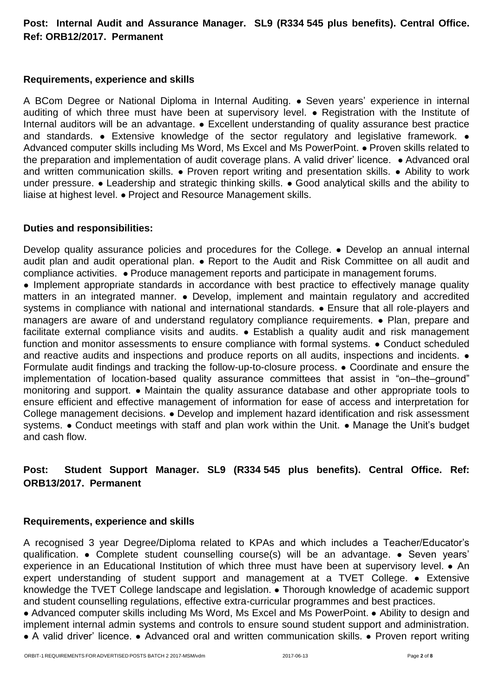# **Post: Internal Audit and Assurance Manager. SL9 (R334 545 plus benefits). Central Office. Ref: ORB12/2017. Permanent**

## **Requirements, experience and skills**

A BCom Degree or National Diploma in Internal Auditing. ● Seven years' experience in internal auditing of which three must have been at supervisory level. ● Registration with the Institute of Internal auditors will be an advantage. • Excellent understanding of quality assurance best practice and standards. • Extensive knowledge of the sector regulatory and legislative framework. • Advanced computer skills including Ms Word, Ms Excel and Ms PowerPoint. ● Proven skills related to the preparation and implementation of audit coverage plans. A valid driver' licence. • Advanced oral and written communication skills. • Proven report writing and presentation skills. • Ability to work under pressure. ● Leadership and strategic thinking skills. ● Good analytical skills and the ability to liaise at highest level. ● Project and Resource Management skills.

## **Duties and responsibilities:**

Develop quality assurance policies and procedures for the College. • Develop an annual internal audit plan and audit operational plan. ● Report to the Audit and Risk Committee on all audit and compliance activities. ● Produce management reports and participate in management forums.

• Implement appropriate standards in accordance with best practice to effectively manage quality matters in an integrated manner. ● Develop, implement and maintain regulatory and accredited systems in compliance with national and international standards. • Ensure that all role-players and managers are aware of and understand regulatory compliance requirements. ● Plan, prepare and facilitate external compliance visits and audits. • Establish a quality audit and risk management function and monitor assessments to ensure compliance with formal systems. • Conduct scheduled and reactive audits and inspections and produce reports on all audits, inspections and incidents.  $\bullet$ Formulate audit findings and tracking the follow-up-to-closure process. ● Coordinate and ensure the implementation of location-based quality assurance committees that assist in "on–the–ground" monitoring and support. ● Maintain the quality assurance database and other appropriate tools to ensure efficient and effective management of information for ease of access and interpretation for College management decisions. ● Develop and implement hazard identification and risk assessment systems. • Conduct meetings with staff and plan work within the Unit. • Manage the Unit's budget and cash flow.

# **Post: Student Support Manager. SL9 (R334 545 plus benefits). Central Office. Ref: ORB13/2017. Permanent**

#### **Requirements, experience and skills**

A recognised 3 year Degree/Diploma related to KPAs and which includes a Teacher/Educator's qualification. ● Complete student counselling course(s) will be an advantage. ● Seven years' experience in an Educational Institution of which three must have been at supervisory level. • An expert understanding of student support and management at a TVET College. ● Extensive knowledge the TVET College landscape and legislation. ● Thorough knowledge of academic support and student counselling regulations, effective extra-curricular programmes and best practices.

● Advanced computer skills including Ms Word, Ms Excel and Ms PowerPoint. ● Ability to design and implement internal admin systems and controls to ensure sound student support and administration. ● A valid driver' licence. ● Advanced oral and written communication skills. ● Proven report writing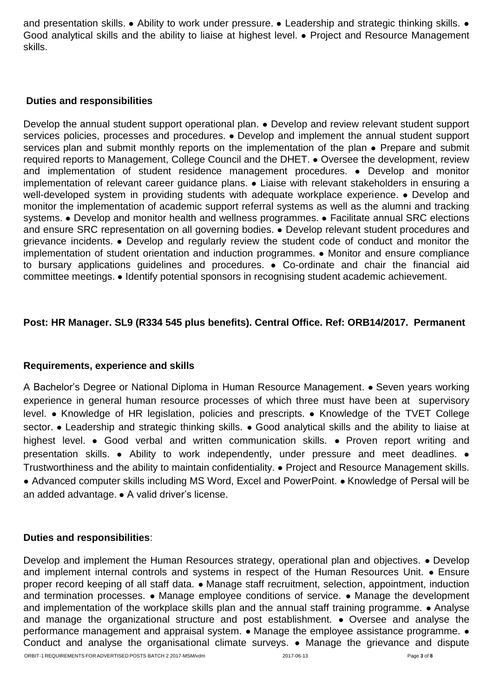and presentation skills. • Ability to work under pressure. • Leadership and strategic thinking skills. • Good analytical skills and the ability to liaise at highest level. ● Project and Resource Management skills.

## **Duties and responsibilities**

Develop the annual student support operational plan. ● Develop and review relevant student support services policies, processes and procedures. • Develop and implement the annual student support services plan and submit monthly reports on the implementation of the plan • Prepare and submit required reports to Management, College Council and the DHET. ● Oversee the development, review and implementation of student residence management procedures. ● Develop and monitor implementation of relevant career guidance plans. ● Liaise with relevant stakeholders in ensuring a well-developed system in providing students with adequate workplace experience. ● Develop and monitor the implementation of academic support referral systems as well as the alumni and tracking systems. • Develop and monitor health and wellness programmes. • Facilitate annual SRC elections and ensure SRC representation on all governing bodies. ● Develop relevant student procedures and grievance incidents. ● Develop and regularly review the student code of conduct and monitor the implementation of student orientation and induction programmes. ● Monitor and ensure compliance to bursary applications guidelines and procedures. ● Co-ordinate and chair the financial aid committee meetings. ● Identify potential sponsors in recognising student academic achievement.

# **Post: HR Manager. SL9 (R334 545 plus benefits). Central Office. Ref: ORB14/2017. Permanent**

# **Requirements, experience and skills**

A Bachelor's Degree or National Diploma in Human Resource Management. ● Seven years working experience in general human resource processes of which three must have been at supervisory level. ● Knowledge of HR legislation, policies and prescripts. ● Knowledge of the TVET College sector. • Leadership and strategic thinking skills. • Good analytical skills and the ability to liaise at highest level. • Good verbal and written communication skills. • Proven report writing and presentation skills. ● Ability to work independently, under pressure and meet deadlines. ● Trustworthiness and the ability to maintain confidentiality. ● Project and Resource Management skills. ● Advanced computer skills including MS Word, Excel and PowerPoint. ● Knowledge of Persal will be an added advantage. ● A valid driver's license.

## **Duties and responsibilities**:

Develop and implement the Human Resources strategy, operational plan and objectives. ● Develop and implement internal controls and systems in respect of the Human Resources Unit. • Ensure proper record keeping of all staff data. ● Manage staff recruitment, selection, appointment, induction and termination processes. • Manage employee conditions of service. • Manage the development and implementation of the workplace skills plan and the annual staff training programme. • Analyse and manage the organizational structure and post establishment. • Oversee and analyse the performance management and appraisal system. ● Manage the employee assistance programme. ● Conduct and analyse the organisational climate surveys. ● Manage the grievance and dispute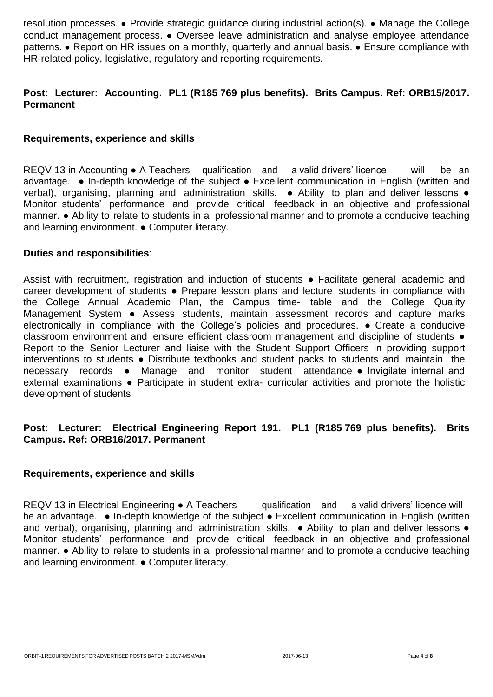resolution processes. ● Provide strategic guidance during industrial action(s). ● Manage the College conduct management process. ● Oversee leave administration and analyse employee attendance patterns. • Report on HR issues on a monthly, quarterly and annual basis. • Ensure compliance with HR-related policy, legislative, regulatory and reporting requirements.

# **Post: Lecturer: Accounting. PL1 (R185 769 plus benefits). Brits Campus. Ref: ORB15/2017. Permanent**

## **Requirements, experience and skills**

REQV 13 in Accounting ● A Teachers qualification and a valid drivers' licence will be an advantage. ● In-depth knowledge of the subject ● Excellent communication in English (written and verbal), organising, planning and administration skills. • Ability to plan and deliver lessons • Monitor students' performance and provide critical feedback in an objective and professional manner. ● Ability to relate to students in a professional manner and to promote a conducive teaching and learning environment. ● Computer literacy.

#### **Duties and responsibilities**:

Assist with recruitment, registration and induction of students • Facilitate general academic and career development of students ● Prepare lesson plans and lecture students in compliance with the College Annual Academic Plan, the Campus time- table and the College Quality Management System • Assess students, maintain assessment records and capture marks electronically in compliance with the College's policies and procedures. ● Create a conducive classroom environment and ensure efficient classroom management and discipline of students  $\bullet$ Report to the Senior Lecturer and liaise with the Student Support Officers in providing support interventions to students ● Distribute textbooks and student packs to students and maintain the necessary records ● Manage and monitor student attendance ● Invigilate internal and external examinations • Participate in student extra- curricular activities and promote the holistic development of students

## **Post: Lecturer: Electrical Engineering Report 191. PL1 (R185 769 plus benefits). Brits Campus. Ref: ORB16/2017. Permanent**

#### **Requirements, experience and skills**

REQV 13 in Electrical Engineering ● A Teachers qualification and a valid drivers' licence will be an advantage. • In-depth knowledge of the subject • Excellent communication in English (written and verbal), organising, planning and administration skills. • Ability to plan and deliver lessons • Monitor students' performance and provide critical feedback in an objective and professional manner. ● Ability to relate to students in a professional manner and to promote a conducive teaching and learning environment. ● Computer literacy.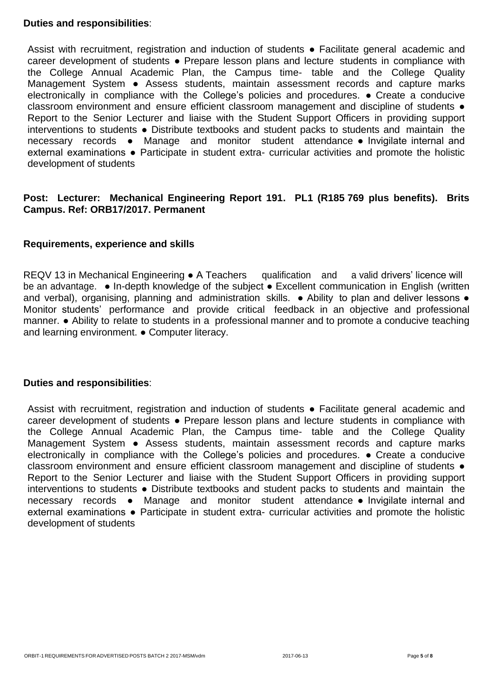## **Duties and responsibilities**:

Assist with recruitment, registration and induction of students • Facilitate general academic and career development of students ● Prepare lesson plans and lecture students in compliance with the College Annual Academic Plan, the Campus time- table and the College Quality Management System • Assess students, maintain assessment records and capture marks electronically in compliance with the College's policies and procedures. ● Create a conducive classroom environment and ensure efficient classroom management and discipline of students ● Report to the Senior Lecturer and liaise with the Student Support Officers in providing support interventions to students ● Distribute textbooks and student packs to students and maintain the necessary records ● Manage and monitor student attendance ● Invigilate internal and external examinations • Participate in student extra- curricular activities and promote the holistic development of students

## **Post: Lecturer: Mechanical Engineering Report 191. PL1 (R185 769 plus benefits). Brits Campus. Ref: ORB17/2017. Permanent**

#### **Requirements, experience and skills**

REQV 13 in Mechanical Engineering • A Teachers qualification and a valid drivers' licence will be an advantage. • In-depth knowledge of the subject • Excellent communication in English (written and verbal), organising, planning and administration skills. • Ability to plan and deliver lessons • Monitor students' performance and provide critical feedback in an objective and professional manner. ● Ability to relate to students in a professional manner and to promote a conducive teaching and learning environment. ● Computer literacy.

#### **Duties and responsibilities**:

Assist with recruitment, registration and induction of students ● Facilitate general academic and career development of students ● Prepare lesson plans and lecture students in compliance with the College Annual Academic Plan, the Campus time- table and the College Quality Management System ● Assess students, maintain assessment records and capture marks electronically in compliance with the College's policies and procedures. ● Create a conducive classroom environment and ensure efficient classroom management and discipline of students ● Report to the Senior Lecturer and liaise with the Student Support Officers in providing support interventions to students ● Distribute textbooks and student packs to students and maintain the necessary records ● Manage and monitor student attendance ● Invigilate internal and external examinations • Participate in student extra- curricular activities and promote the holistic development of students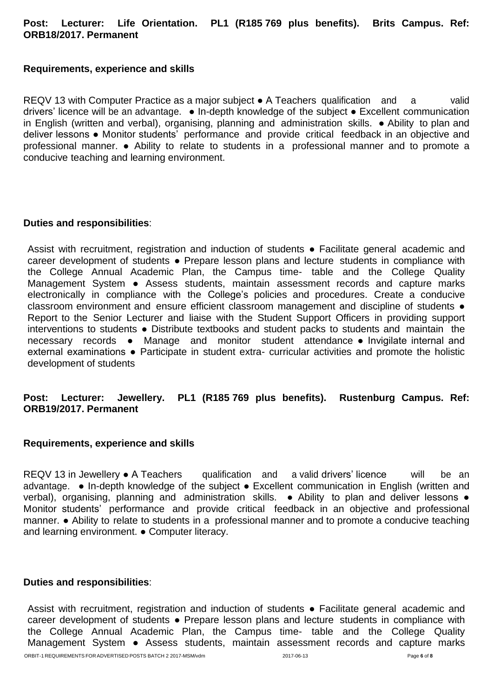## **Post: Lecturer: Life Orientation. PL1 (R185 769 plus benefits). Brits Campus. Ref: ORB18/2017. Permanent**

#### **Requirements, experience and skills**

REQV 13 with Computer Practice as a major subject  $\bullet$  A Teachers qualification and a valid drivers' licence will be an advantage. ● In-depth knowledge of the subject ● Excellent communication in English (written and verbal), organising, planning and administration skills. ● Ability to plan and deliver lessons ● Monitor students' performance and provide critical feedback in an objective and professional manner. ● Ability to relate to students in a professional manner and to promote a conducive teaching and learning environment.

## **Duties and responsibilities**:

Assist with recruitment, registration and induction of students • Facilitate general academic and career development of students ● Prepare lesson plans and lecture students in compliance with the College Annual Academic Plan, the Campus time- table and the College Quality Management System • Assess students, maintain assessment records and capture marks electronically in compliance with the College's policies and procedures. Create a conducive classroom environment and ensure efficient classroom management and discipline of students  $\bullet$ Report to the Senior Lecturer and liaise with the Student Support Officers in providing support interventions to students ● Distribute textbooks and student packs to students and maintain the necessary records ● Manage and monitor student attendance ● Invigilate internal and external examinations • Participate in student extra- curricular activities and promote the holistic development of students

## **Post: Lecturer: Jewellery. PL1 (R185 769 plus benefits). Rustenburg Campus. Ref: ORB19/2017. Permanent**

#### **Requirements, experience and skills**

REQV 13 in Jewellery ● A Teachers qualification and a valid drivers' licence will be an advantage. ● In-depth knowledge of the subject ● Excellent communication in English (written and verbal), organising, planning and administration skills. • Ability to plan and deliver lessons • Monitor students' performance and provide critical feedback in an objective and professional manner. ● Ability to relate to students in a professional manner and to promote a conducive teaching and learning environment. ● Computer literacy.

#### **Duties and responsibilities**:

Assist with recruitment, registration and induction of students ● Facilitate general academic and career development of students ● Prepare lesson plans and lecture students in compliance with the College Annual Academic Plan, the Campus time- table and the College Quality Management System ● Assess students, maintain assessment records and capture marks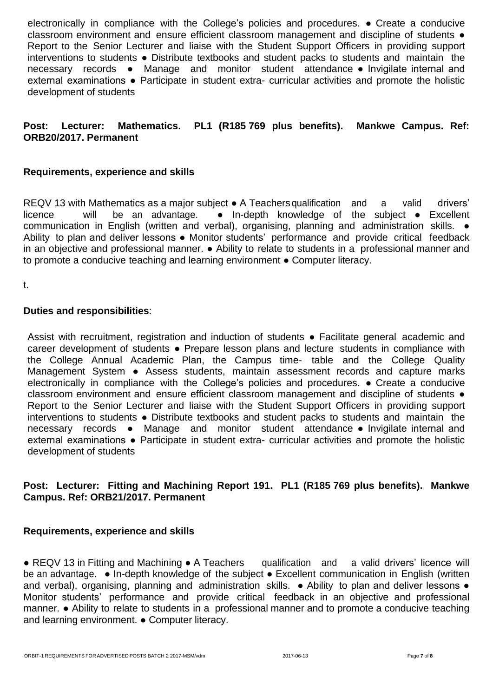electronically in compliance with the College's policies and procedures. ● Create a conducive classroom environment and ensure efficient classroom management and discipline of students ● Report to the Senior Lecturer and liaise with the Student Support Officers in providing support interventions to students ● Distribute textbooks and student packs to students and maintain the necessary records ● Manage and monitor student attendance ● Invigilate internal and external examinations • Participate in student extra- curricular activities and promote the holistic development of students

# **Post: Lecturer: Mathematics. PL1 (R185 769 plus benefits). Mankwe Campus. Ref: ORB20/2017. Permanent**

## **Requirements, experience and skills**

REQV 13 with Mathematics as a major subject • A Teachers qualification and a valid drivers' licence will be an advantage. ● In-depth knowledge of the subject ● Excellent communication in English (written and verbal), organising, planning and administration skills. ● Ability to plan and deliver lessons . Monitor students' performance and provide critical feedback in an objective and professional manner. ● Ability to relate to students in a professional manner and to promote a conducive teaching and learning environment ● Computer literacy.

t.

## **Duties and responsibilities**:

Assist with recruitment, registration and induction of students • Facilitate general academic and career development of students ● Prepare lesson plans and lecture students in compliance with the College Annual Academic Plan, the Campus time- table and the College Quality Management System • Assess students, maintain assessment records and capture marks electronically in compliance with the College's policies and procedures. ● Create a conducive classroom environment and ensure efficient classroom management and discipline of students  $\bullet$ Report to the Senior Lecturer and liaise with the Student Support Officers in providing support interventions to students ● Distribute textbooks and student packs to students and maintain the necessary records ● Manage and monitor student attendance ● Invigilate internal and external examinations • Participate in student extra- curricular activities and promote the holistic development of students

# **Post: Lecturer: Fitting and Machining Report 191. PL1 (R185 769 plus benefits). Mankwe Campus. Ref: ORB21/2017. Permanent**

## **Requirements, experience and skills**

● REQV 13 in Fitting and Machining ● A Teachers qualification and a valid drivers' licence will be an advantage. • In-depth knowledge of the subject • Excellent communication in English (written and verbal), organising, planning and administration skills. • Ability to plan and deliver lessons • Monitor students' performance and provide critical feedback in an objective and professional manner. ● Ability to relate to students in a professional manner and to promote a conducive teaching and learning environment. ● Computer literacy.